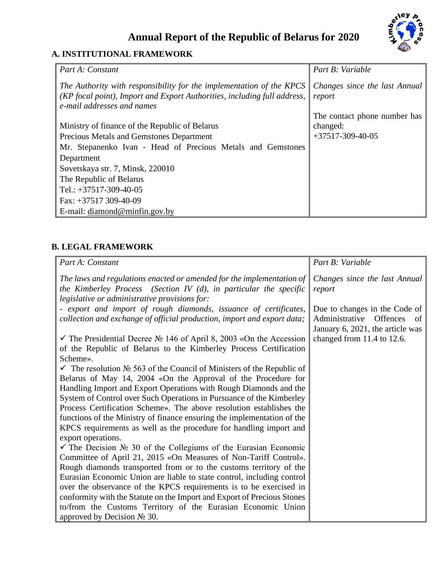# **Annual Report of the Republic of Belarus for 2020**



## **A. INSTITUTIONAL FRAMEWORK**

| Part A: Constant                                                                                                                                                               | Part B: Variable                        |
|--------------------------------------------------------------------------------------------------------------------------------------------------------------------------------|-----------------------------------------|
| The Authority with responsibility for the implementation of the KPCS<br>(KP focal point), Import and Export Authorities, including full address,<br>e-mail addresses and names | Changes since the last Annual<br>report |
|                                                                                                                                                                                | The contact phone number has            |
| Ministry of finance of the Republic of Belarus                                                                                                                                 | changed:                                |
| Precious Metals and Gemstones Department                                                                                                                                       | $+37517-309-40-05$                      |
| Mr. Stepanenko Ivan - Head of Precious Metals and Gemstones                                                                                                                    |                                         |
| Department                                                                                                                                                                     |                                         |
| Sovetskaya str. 7, Minsk, 220010                                                                                                                                               |                                         |
| The Republic of Belarus                                                                                                                                                        |                                         |
| Tel.: $+37517-309-40-05$                                                                                                                                                       |                                         |
| Fax: $+37517$ 309-40-09                                                                                                                                                        |                                         |
| E-mail: diamond@minfin.gov.by                                                                                                                                                  |                                         |

### **B. LEGAL FRAMEWORK**

| Part A: Constant                                                                               | Part B: Variable                 |
|------------------------------------------------------------------------------------------------|----------------------------------|
| The laws and regulations enacted or amended for the implementation of                          | Changes since the last Annual    |
| the Kimberley Process (Section IV $(d)$ , in particular the specific                           | report                           |
| legislative or administrative provisions for:                                                  |                                  |
| - export and import of rough diamonds, issuance of certificates,                               | Due to changes in the Code of    |
| collection and exchange of official production, import and export data;                        | Administrative Offences<br>of    |
|                                                                                                | January 6, 2021, the article was |
| $\checkmark$ The Presidential Decree $\mathbb{N}$ 146 of April 8, 2003 «On the Accession       | changed from 11.4 to 12.6.       |
| of the Republic of Belarus to the Kimberley Process Certification                              |                                  |
| Scheme».                                                                                       |                                  |
| $\checkmark$ The resolution $\mathcal{N}_2$ 563 of the Council of Ministers of the Republic of |                                  |
| Belarus of May 14, 2004 «On the Approval of the Procedure for                                  |                                  |
| Handling Import and Export Operations with Rough Diamonds and the                              |                                  |
| System of Control over Such Operations in Pursuance of the Kimberley                           |                                  |
| Process Certification Scheme». The above resolution establishes the                            |                                  |
| functions of the Ministry of finance ensuring the implementation of the                        |                                  |
| KPCS requirements as well as the procedure for handling import and                             |                                  |
| export operations.                                                                             |                                  |
| $\checkmark$ The Decision $\mathcal{N}_2$ 30 of the Collegiums of the Eurasian Economic        |                                  |
| Committee of April 21, 2015 «On Measures of Non-Tariff Control».                               |                                  |
| Rough diamonds transported from or to the customs territory of the                             |                                  |
| Eurasian Economic Union are liable to state control, including control                         |                                  |
| over the observance of the KPCS requirements is to be exercised in                             |                                  |
| conformity with the Statute on the Import and Export of Precious Stones                        |                                  |
| to/from the Customs Territory of the Eurasian Economic Union                                   |                                  |
| approved by Decision $\mathbb{N}^{\circ}$ 30.                                                  |                                  |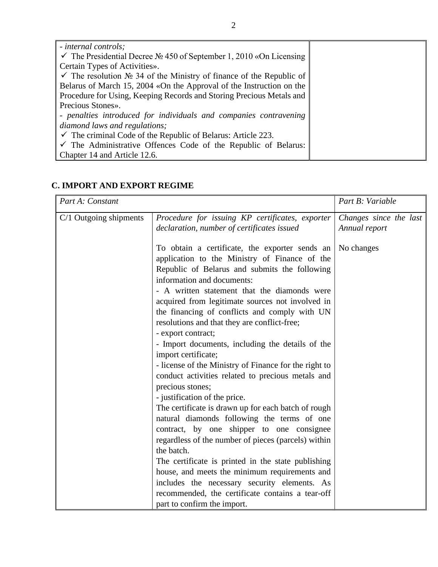| - internal controls;                                                                         |  |
|----------------------------------------------------------------------------------------------|--|
| $\checkmark$ The Presidential Decree No. 450 of September 1, 2010 «On Licensing              |  |
| Certain Types of Activities».                                                                |  |
| $\checkmark$ The resolution $\mathcal{N}_2$ 34 of the Ministry of finance of the Republic of |  |
| Belarus of March 15, 2004 «On the Approval of the Instruction on the                         |  |
| Procedure for Using, Keeping Records and Storing Precious Metals and                         |  |
| Precious Stones».                                                                            |  |
| - penalties introduced for individuals and companies contravening                            |  |
| diamond laws and regulations;                                                                |  |
| $\checkmark$ The criminal Code of the Republic of Belarus: Article 223.                      |  |
| $\checkmark$ The Administrative Offences Code of the Republic of Belarus:                    |  |
| Chapter 14 and Article 12.6.                                                                 |  |

### **C. IMPORT AND EXPORT REGIME**

| Part A: Constant         | Part B: Variable                                                                                                                                                                                                                                                                                                                                                                                                                                                                                                                                                         |                                         |
|--------------------------|--------------------------------------------------------------------------------------------------------------------------------------------------------------------------------------------------------------------------------------------------------------------------------------------------------------------------------------------------------------------------------------------------------------------------------------------------------------------------------------------------------------------------------------------------------------------------|-----------------------------------------|
| $C/1$ Outgoing shipments | Procedure for issuing KP certificates, exporter<br>declaration, number of certificates issued                                                                                                                                                                                                                                                                                                                                                                                                                                                                            | Changes since the last<br>Annual report |
|                          | To obtain a certificate, the exporter sends an<br>application to the Ministry of Finance of the<br>Republic of Belarus and submits the following<br>information and documents:<br>- A written statement that the diamonds were<br>acquired from legitimate sources not involved in<br>the financing of conflicts and comply with UN<br>resolutions and that they are conflict-free;<br>- export contract;<br>- Import documents, including the details of the<br>import certificate;<br>- license of the Ministry of Finance for the right to                            | No changes                              |
|                          | conduct activities related to precious metals and<br>precious stones;<br>- justification of the price.<br>The certificate is drawn up for each batch of rough<br>natural diamonds following the terms of one<br>contract, by one shipper to one consignee<br>regardless of the number of pieces (parcels) within<br>the batch.<br>The certificate is printed in the state publishing<br>house, and meets the minimum requirements and<br>includes the necessary security elements. As<br>recommended, the certificate contains a tear-off<br>part to confirm the import. |                                         |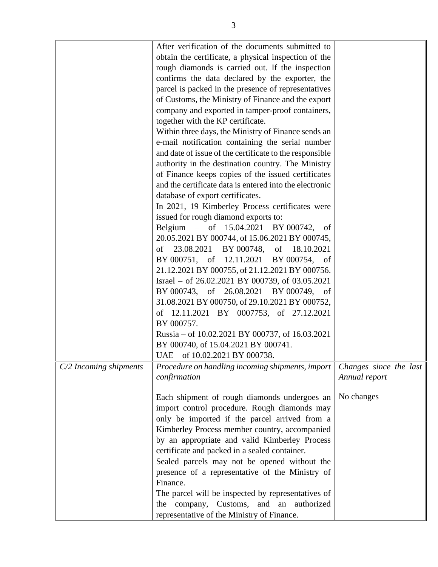|                          | After verification of the documents submitted to        |                        |
|--------------------------|---------------------------------------------------------|------------------------|
|                          | obtain the certificate, a physical inspection of the    |                        |
|                          | rough diamonds is carried out. If the inspection        |                        |
|                          | confirms the data declared by the exporter, the         |                        |
|                          | parcel is packed in the presence of representatives     |                        |
|                          | of Customs, the Ministry of Finance and the export      |                        |
|                          | company and exported in tamper-proof containers,        |                        |
|                          |                                                         |                        |
|                          | together with the KP certificate.                       |                        |
|                          | Within three days, the Ministry of Finance sends an     |                        |
|                          | e-mail notification containing the serial number        |                        |
|                          | and date of issue of the certificate to the responsible |                        |
|                          | authority in the destination country. The Ministry      |                        |
|                          | of Finance keeps copies of the issued certificates      |                        |
|                          | and the certificate data is entered into the electronic |                        |
|                          | database of export certificates.                        |                        |
|                          | In 2021, 19 Kimberley Process certificates were         |                        |
|                          | issued for rough diamond exports to:                    |                        |
|                          | Belgium – of 15.04.2021 BY 000742, of                   |                        |
|                          | 20.05.2021 BY 000744, of 15.06.2021 BY 000745,          |                        |
|                          | of 23.08.2021 BY 000748, of 18.10.2021                  |                        |
|                          |                                                         |                        |
|                          | BY 000751, of 12.11.2021 BY 000754, of                  |                        |
|                          | 21.12.2021 BY 000755, of 21.12.2021 BY 000756.          |                        |
|                          | Israel - of 26.02.2021 BY 000739, of 03.05.2021         |                        |
|                          | BY 000743, of 26.08.2021 BY 000749, of                  |                        |
|                          | 31.08.2021 BY 000750, of 29.10.2021 BY 000752,          |                        |
|                          | of 12.11.2021 BY 0007753, of 27.12.2021                 |                        |
|                          | BY 000757.                                              |                        |
|                          | Russia – of 10.02.2021 BY 000737, of 16.03.2021         |                        |
|                          | BY 000740, of 15.04.2021 BY 000741.                     |                        |
|                          | UAE - of 10.02.2021 BY 000738.                          |                        |
| $C/2$ Incoming shipments | Procedure on handling incoming shipments, import        | Changes since the last |
|                          | confirmation                                            | Annual report          |
|                          |                                                         |                        |
|                          | Each shipment of rough diamonds undergoes an            | No changes             |
|                          | import control procedure. Rough diamonds may            |                        |
|                          |                                                         |                        |
|                          | only be imported if the parcel arrived from a           |                        |
|                          | Kimberley Process member country, accompanied           |                        |
|                          | by an appropriate and valid Kimberley Process           |                        |
|                          | certificate and packed in a sealed container.           |                        |
|                          | Sealed parcels may not be opened without the            |                        |
|                          | presence of a representative of the Ministry of         |                        |
|                          | Finance.                                                |                        |
|                          | The parcel will be inspected by representatives of      |                        |
|                          | the company, Customs, and an<br>authorized              |                        |
|                          | representative of the Ministry of Finance.              |                        |
|                          |                                                         |                        |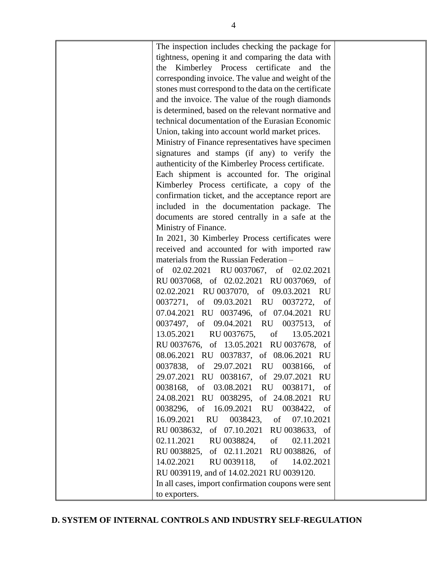| The inspection includes checking the package for<br>tightness, opening it and comparing the data with<br>the Kimberley Process certificate and<br>the<br>corresponding invoice. The value and weight of the<br>stones must correspond to the data on the certificate<br>and the invoice. The value of the rough diamonds<br>is determined, based on the relevant normative and<br>technical documentation of the Eurasian Economic<br>Union, taking into account world market prices.<br>Ministry of Finance representatives have specimen<br>signatures and stamps (if any) to verify the<br>authenticity of the Kimberley Process certificate.<br>Each shipment is accounted for. The original<br>Kimberley Process certificate, a copy of the<br>confirmation ticket, and the acceptance report are<br>included in the documentation package. The<br>documents are stored centrally in a safe at the<br>Ministry of Finance.<br>In 2021, 30 Kimberley Process certificates were<br>received and accounted for with imported raw<br>materials from the Russian Federation -<br>of 02.02.2021 RU 0037067, of 02.02.2021<br>RU 0037068, of 02.02.2021 RU 0037069, of<br>02.02.2021 RU 0037070, of 09.03.2021 RU<br>0037271, of 09.03.2021 RU 0037272, of<br>07.04.2021 RU 0037496, of 07.04.2021 RU<br>0037497, of 09.04.2021 RU 0037513, of<br>13.05.2021 RU 0037675, of<br>13.05.2021<br>RU 0037676, of 13.05.2021 RU 0037678, of |  |
|-------------------------------------------------------------------------------------------------------------------------------------------------------------------------------------------------------------------------------------------------------------------------------------------------------------------------------------------------------------------------------------------------------------------------------------------------------------------------------------------------------------------------------------------------------------------------------------------------------------------------------------------------------------------------------------------------------------------------------------------------------------------------------------------------------------------------------------------------------------------------------------------------------------------------------------------------------------------------------------------------------------------------------------------------------------------------------------------------------------------------------------------------------------------------------------------------------------------------------------------------------------------------------------------------------------------------------------------------------------------------------------------------------------------------------------|--|
|                                                                                                                                                                                                                                                                                                                                                                                                                                                                                                                                                                                                                                                                                                                                                                                                                                                                                                                                                                                                                                                                                                                                                                                                                                                                                                                                                                                                                                     |  |
|                                                                                                                                                                                                                                                                                                                                                                                                                                                                                                                                                                                                                                                                                                                                                                                                                                                                                                                                                                                                                                                                                                                                                                                                                                                                                                                                                                                                                                     |  |
|                                                                                                                                                                                                                                                                                                                                                                                                                                                                                                                                                                                                                                                                                                                                                                                                                                                                                                                                                                                                                                                                                                                                                                                                                                                                                                                                                                                                                                     |  |
|                                                                                                                                                                                                                                                                                                                                                                                                                                                                                                                                                                                                                                                                                                                                                                                                                                                                                                                                                                                                                                                                                                                                                                                                                                                                                                                                                                                                                                     |  |
|                                                                                                                                                                                                                                                                                                                                                                                                                                                                                                                                                                                                                                                                                                                                                                                                                                                                                                                                                                                                                                                                                                                                                                                                                                                                                                                                                                                                                                     |  |
|                                                                                                                                                                                                                                                                                                                                                                                                                                                                                                                                                                                                                                                                                                                                                                                                                                                                                                                                                                                                                                                                                                                                                                                                                                                                                                                                                                                                                                     |  |
|                                                                                                                                                                                                                                                                                                                                                                                                                                                                                                                                                                                                                                                                                                                                                                                                                                                                                                                                                                                                                                                                                                                                                                                                                                                                                                                                                                                                                                     |  |
|                                                                                                                                                                                                                                                                                                                                                                                                                                                                                                                                                                                                                                                                                                                                                                                                                                                                                                                                                                                                                                                                                                                                                                                                                                                                                                                                                                                                                                     |  |
|                                                                                                                                                                                                                                                                                                                                                                                                                                                                                                                                                                                                                                                                                                                                                                                                                                                                                                                                                                                                                                                                                                                                                                                                                                                                                                                                                                                                                                     |  |
|                                                                                                                                                                                                                                                                                                                                                                                                                                                                                                                                                                                                                                                                                                                                                                                                                                                                                                                                                                                                                                                                                                                                                                                                                                                                                                                                                                                                                                     |  |
|                                                                                                                                                                                                                                                                                                                                                                                                                                                                                                                                                                                                                                                                                                                                                                                                                                                                                                                                                                                                                                                                                                                                                                                                                                                                                                                                                                                                                                     |  |
|                                                                                                                                                                                                                                                                                                                                                                                                                                                                                                                                                                                                                                                                                                                                                                                                                                                                                                                                                                                                                                                                                                                                                                                                                                                                                                                                                                                                                                     |  |
|                                                                                                                                                                                                                                                                                                                                                                                                                                                                                                                                                                                                                                                                                                                                                                                                                                                                                                                                                                                                                                                                                                                                                                                                                                                                                                                                                                                                                                     |  |
|                                                                                                                                                                                                                                                                                                                                                                                                                                                                                                                                                                                                                                                                                                                                                                                                                                                                                                                                                                                                                                                                                                                                                                                                                                                                                                                                                                                                                                     |  |
| 08.06.2021 RU 0037837, of 08.06.2021 RU                                                                                                                                                                                                                                                                                                                                                                                                                                                                                                                                                                                                                                                                                                                                                                                                                                                                                                                                                                                                                                                                                                                                                                                                                                                                                                                                                                                             |  |
| 0037838, of 29.07.2021 RU 0038166, of                                                                                                                                                                                                                                                                                                                                                                                                                                                                                                                                                                                                                                                                                                                                                                                                                                                                                                                                                                                                                                                                                                                                                                                                                                                                                                                                                                                               |  |
| 29.07.2021 RU 0038167, of 29.07.2021 RU                                                                                                                                                                                                                                                                                                                                                                                                                                                                                                                                                                                                                                                                                                                                                                                                                                                                                                                                                                                                                                                                                                                                                                                                                                                                                                                                                                                             |  |
| 0038168, of 03.08.2021 RU 0038171, of<br>24.08.2021 RU 0038295,<br>of 24.08.2021 RU                                                                                                                                                                                                                                                                                                                                                                                                                                                                                                                                                                                                                                                                                                                                                                                                                                                                                                                                                                                                                                                                                                                                                                                                                                                                                                                                                 |  |
| 0038296, of 16.09.2021 RU 0038422, of                                                                                                                                                                                                                                                                                                                                                                                                                                                                                                                                                                                                                                                                                                                                                                                                                                                                                                                                                                                                                                                                                                                                                                                                                                                                                                                                                                                               |  |
| 16.09.2021<br>RU 0038423, of<br>07.10.2021                                                                                                                                                                                                                                                                                                                                                                                                                                                                                                                                                                                                                                                                                                                                                                                                                                                                                                                                                                                                                                                                                                                                                                                                                                                                                                                                                                                          |  |
| RU 0038632, of 07.10.2021 RU 0038633, of                                                                                                                                                                                                                                                                                                                                                                                                                                                                                                                                                                                                                                                                                                                                                                                                                                                                                                                                                                                                                                                                                                                                                                                                                                                                                                                                                                                            |  |
| 02.11.2021 RU 0038824,<br>of<br>02.11.2021                                                                                                                                                                                                                                                                                                                                                                                                                                                                                                                                                                                                                                                                                                                                                                                                                                                                                                                                                                                                                                                                                                                                                                                                                                                                                                                                                                                          |  |
| RU 0038825, of 02.11.2021 RU 0038826, of                                                                                                                                                                                                                                                                                                                                                                                                                                                                                                                                                                                                                                                                                                                                                                                                                                                                                                                                                                                                                                                                                                                                                                                                                                                                                                                                                                                            |  |
| 14.02.2021<br>RU 0039118, of 14.02.2021                                                                                                                                                                                                                                                                                                                                                                                                                                                                                                                                                                                                                                                                                                                                                                                                                                                                                                                                                                                                                                                                                                                                                                                                                                                                                                                                                                                             |  |
| RU 0039119, and of 14.02.2021 RU 0039120.                                                                                                                                                                                                                                                                                                                                                                                                                                                                                                                                                                                                                                                                                                                                                                                                                                                                                                                                                                                                                                                                                                                                                                                                                                                                                                                                                                                           |  |
| In all cases, import confirmation coupons were sent                                                                                                                                                                                                                                                                                                                                                                                                                                                                                                                                                                                                                                                                                                                                                                                                                                                                                                                                                                                                                                                                                                                                                                                                                                                                                                                                                                                 |  |
| to exporters.                                                                                                                                                                                                                                                                                                                                                                                                                                                                                                                                                                                                                                                                                                                                                                                                                                                                                                                                                                                                                                                                                                                                                                                                                                                                                                                                                                                                                       |  |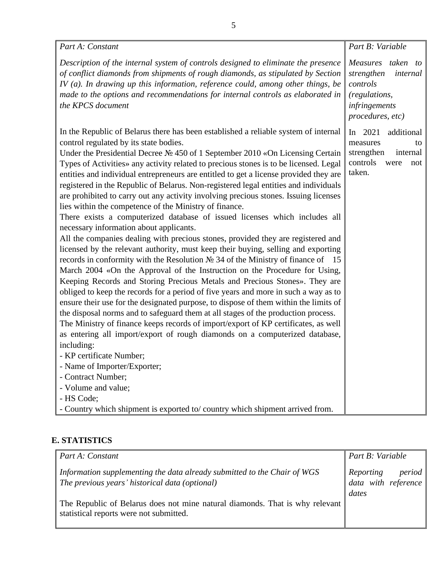| Part A: Constant                                                                                                                                                                                                                                                                                                                                                                                                                                                                                                                                                                                                                                                                                                                                                                                                                                                                                                                                                                                                                                                                                                                                                                                                                                                                                                                                                                                                                                                                                                                                                                                                                                                                                                                                                                                                                                                | Part B: Variable                                                                                              |
|-----------------------------------------------------------------------------------------------------------------------------------------------------------------------------------------------------------------------------------------------------------------------------------------------------------------------------------------------------------------------------------------------------------------------------------------------------------------------------------------------------------------------------------------------------------------------------------------------------------------------------------------------------------------------------------------------------------------------------------------------------------------------------------------------------------------------------------------------------------------------------------------------------------------------------------------------------------------------------------------------------------------------------------------------------------------------------------------------------------------------------------------------------------------------------------------------------------------------------------------------------------------------------------------------------------------------------------------------------------------------------------------------------------------------------------------------------------------------------------------------------------------------------------------------------------------------------------------------------------------------------------------------------------------------------------------------------------------------------------------------------------------------------------------------------------------------------------------------------------------|---------------------------------------------------------------------------------------------------------------|
| Description of the internal system of controls designed to eliminate the presence<br>of conflict diamonds from shipments of rough diamonds, as stipulated by Section<br>IV $(a)$ . In drawing up this information, reference could, among other things, be<br>made to the options and recommendations for internal controls as elaborated in<br>the KPCS document                                                                                                                                                                                                                                                                                                                                                                                                                                                                                                                                                                                                                                                                                                                                                                                                                                                                                                                                                                                                                                                                                                                                                                                                                                                                                                                                                                                                                                                                                               | Measures taken to<br>strengthen<br>internal<br>controls<br>(regulations,<br>infringements<br>procedures, etc) |
| In the Republic of Belarus there has been established a reliable system of internal<br>control regulated by its state bodies.<br>Under the Presidential Decree $N2$ 450 of 1 September 2010 «On Licensing Certain<br>Types of Activities» any activity related to precious stones is to be licensed. Legal<br>entities and individual entrepreneurs are entitled to get a license provided they are<br>registered in the Republic of Belarus. Non-registered legal entities and individuals<br>are prohibited to carry out any activity involving precious stones. Issuing licenses<br>lies within the competence of the Ministry of finance.<br>There exists a computerized database of issued licenses which includes all<br>necessary information about applicants.<br>All the companies dealing with precious stones, provided they are registered and<br>licensed by the relevant authority, must keep their buying, selling and exporting<br>records in conformity with the Resolution $N2$ 34 of the Ministry of finance of 15<br>March 2004 «On the Approval of the Instruction on the Procedure for Using,<br>Keeping Records and Storing Precious Metals and Precious Stones». They are<br>obliged to keep the records for a period of five years and more in such a way as to<br>ensure their use for the designated purpose, to dispose of them within the limits of<br>the disposal norms and to safeguard them at all stages of the production process.<br>The Ministry of finance keeps records of import/export of KP certificates, as well<br>as entering all import/export of rough diamonds on a computerized database,<br>including:<br>- KP certificate Number;<br>- Name of Importer/Exporter;<br>- Contract Number;<br>- Volume and value;<br>- HS Code;<br>- Country which shipment is exported to/country which shipment arrived from. | In $2021$<br>additional<br>measures<br>to<br>strengthen<br>internal<br>controls<br>were<br>not<br>taken.      |

### **E. STATISTICS**

| Part A: Constant                                                                                                           | Part B: Variable                                 |  |
|----------------------------------------------------------------------------------------------------------------------------|--------------------------------------------------|--|
| Information supplementing the data already submitted to the Chair of WGS<br>The previous years' historical data (optional) | Reporting period<br>data with reference<br>dates |  |
| The Republic of Belarus does not mine natural diamonds. That is why relevant<br>statistical reports were not submitted.    |                                                  |  |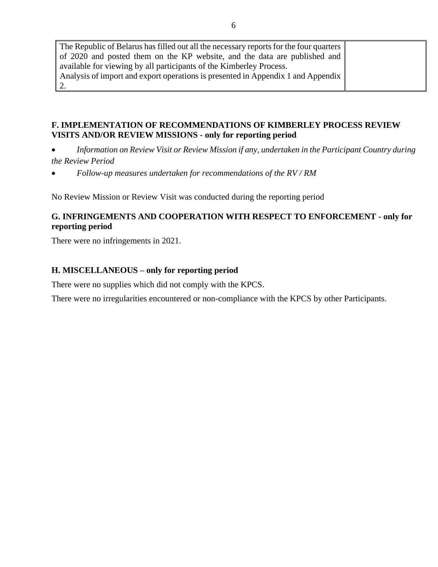| The Republic of Belarus has filled out all the necessary reports for the four quarters |  |
|----------------------------------------------------------------------------------------|--|
| of 2020 and posted them on the KP website, and the data are published and              |  |
| available for viewing by all participants of the Kimberley Process.                    |  |
| Analysis of import and export operations is presented in Appendix 1 and Appendix       |  |
|                                                                                        |  |

### **F. IMPLEMENTATION OF RECOMMENDATIONS OF KIMBERLEY PROCESS REVIEW VISITS AND/OR REVIEW MISSIONS - only for reporting period**

- *Information on Review Visit or Review Mission if any, undertaken in the Participant Country during the Review Period*
- *Follow-up measures undertaken for recommendations of the RV / RM*

No Review Mission or Review Visit was conducted during the reporting period

#### **G. INFRINGEMENTS AND COOPERATION WITH RESPECT TO ENFORCEMENT - only for reporting period**

There were no infringements in 2021.

#### **H. MISCELLANEOUS – only for reporting period**

There were no supplies which did not comply with the KPCS.

There were no irregularities encountered or non-compliance with the KPCS by other Participants.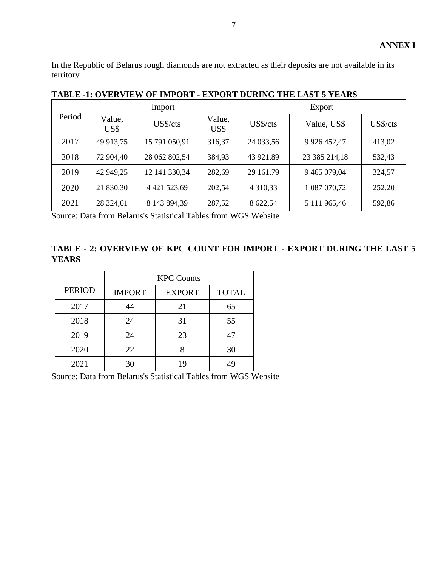In the Republic of Belarus rough diamonds are not extracted as their deposits are not available in its territory

|        | Import         |                 |                | Export        |                  |          |  |
|--------|----------------|-----------------|----------------|---------------|------------------|----------|--|
| Period | Value,<br>US\$ | US\$/cts        | Value,<br>US\$ | US\$/cts      | Value, US\$      | US\$/cts |  |
| 2017   | 49 913,75      | 15 791 050,91   | 316,37         | 24 033,56     | 9 9 26 4 5 2, 47 | 413,02   |  |
| 2018   | 72 904,40      | 28 062 802,54   | 384,93         | 43 921,89     | 23 385 214,18    | 532,43   |  |
| 2019   | 42 949,25      | 12 141 330,34   | 282,69         | 29 161,79     | 9 465 079,04     | 324,57   |  |
| 2020   | 21 830,30      | 4 4 21 5 23, 69 | 202,54         | 4 3 1 0 , 3 3 | 1 087 070,72     | 252,20   |  |
| 2021   | 28 324,61      | 8 143 894,39    | 287,52         | 8 622,54      | 5 111 965,46     | 592,86   |  |

**TABLE -1: OVERVIEW OF IMPORT - EXPORT DURING THE LAST 5 YEARS** 

Source: Data from Belarus's Statistical Tables from WGS Website

**TABLE - 2: OVERVIEW OF KPC COUNT FOR IMPORT - EXPORT DURING THE LAST 5 YEARS** 

|               | <b>KPC Counts</b> |                               |    |  |  |  |  |  |
|---------------|-------------------|-------------------------------|----|--|--|--|--|--|
| <b>PERIOD</b> | <b>IMPORT</b>     | <b>TOTAL</b><br><b>EXPORT</b> |    |  |  |  |  |  |
| 2017          | 44                | 21                            | 65 |  |  |  |  |  |
| 2018          | 24                | 31                            | 55 |  |  |  |  |  |
| 2019          | 24                | 23                            | 47 |  |  |  |  |  |
| 2020          | 22                |                               | 30 |  |  |  |  |  |
| 2021          | 30                | 19                            | 49 |  |  |  |  |  |

Source: Data from Belarus's Statistical Tables from WGS Website